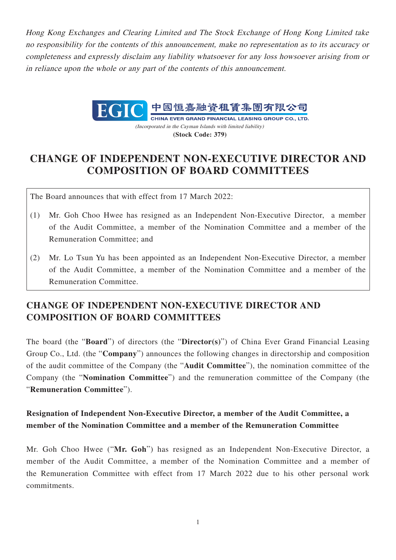Hong Kong Exchanges and Clearing Limited and The Stock Exchange of Hong Kong Limited take no responsibility for the contents of this announcement, make no representation as to its accuracy or completeness and expressly disclaim any liability whatsoever for any loss howsoever arising from or in reliance upon the whole or any part of the contents of this announcement.



CHINA EVER GRAND FINANCIAL LEASING GROUP CO., LTD. (Incorporated in the Cayman Islands with limited liability) **(Stock Code: 379)**

## **CHANGE OF INDEPENDENT NON-EXECUTIVE DIRECTOR AND COMPOSITION OF BOARD COMMITTEES**

The Board announces that with effect from 17 March 2022:

- (1) Mr. Goh Choo Hwee has resigned as an Independent Non-Executive Director, a member of the Audit Committee, a member of the Nomination Committee and a member of the Remuneration Committee; and
- (2) Mr. Lo Tsun Yu has been appointed as an Independent Non-Executive Director, a member of the Audit Committee, a member of the Nomination Committee and a member of the Remuneration Committee.

## **CHANGE OF INDEPENDENT NON-EXECUTIVE DIRECTOR AND COMPOSITION OF BOARD COMMITTEES**

The board (the "**Board**") of directors (the "**Director(s)**") of China Ever Grand Financial Leasing Group Co., Ltd. (the "**Company**") announces the following changes in directorship and composition of the audit committee of the Company (the "**Audit Committee**"), the nomination committee of the Company (the "**Nomination Committee**") and the remuneration committee of the Company (the "**Remuneration Committee**").

## **Resignation of Independent Non-Executive Director, a member of the Audit Committee, a member of the Nomination Committee and a member of the Remuneration Committee**

Mr. Goh Choo Hwee ("**Mr. Goh**") has resigned as an Independent Non-Executive Director, a member of the Audit Committee, a member of the Nomination Committee and a member of the Remuneration Committee with effect from 17 March 2022 due to his other personal work commitments.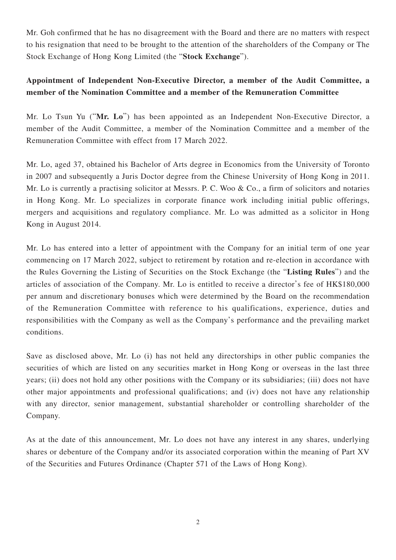Mr. Goh confirmed that he has no disagreement with the Board and there are no matters with respect to his resignation that need to be brought to the attention of the shareholders of the Company or The Stock Exchange of Hong Kong Limited (the "**Stock Exchange**").

## **Appointment of Independent Non-Executive Director, a member of the Audit Committee, a member of the Nomination Committee and a member of the Remuneration Committee**

Mr. Lo Tsun Yu ("**Mr. Lo**") has been appointed as an Independent Non-Executive Director, a member of the Audit Committee, a member of the Nomination Committee and a member of the Remuneration Committee with effect from 17 March 2022.

Mr. Lo, aged 37, obtained his Bachelor of Arts degree in Economics from the University of Toronto in 2007 and subsequently a Juris Doctor degree from the Chinese University of Hong Kong in 2011. Mr. Lo is currently a practising solicitor at Messrs. P. C. Woo  $\&$  Co., a firm of solicitors and notaries in Hong Kong. Mr. Lo specializes in corporate finance work including initial public offerings, mergers and acquisitions and regulatory compliance. Mr. Lo was admitted as a solicitor in Hong Kong in August 2014.

Mr. Lo has entered into a letter of appointment with the Company for an initial term of one year commencing on 17 March 2022, subject to retirement by rotation and re-election in accordance with the Rules Governing the Listing of Securities on the Stock Exchange (the "**Listing Rules**") and the articles of association of the Company. Mr. Lo is entitled to receive a director's fee of HK\$180,000 per annum and discretionary bonuses which were determined by the Board on the recommendation of the Remuneration Committee with reference to his qualifications, experience, duties and responsibilities with the Company as well as the Company's performance and the prevailing market conditions.

Save as disclosed above, Mr. Lo (i) has not held any directorships in other public companies the securities of which are listed on any securities market in Hong Kong or overseas in the last three years; (ii) does not hold any other positions with the Company or its subsidiaries; (iii) does not have other major appointments and professional qualifications; and (iv) does not have any relationship with any director, senior management, substantial shareholder or controlling shareholder of the Company.

As at the date of this announcement, Mr. Lo does not have any interest in any shares, underlying shares or debenture of the Company and/or its associated corporation within the meaning of Part XV of the Securities and Futures Ordinance (Chapter 571 of the Laws of Hong Kong).